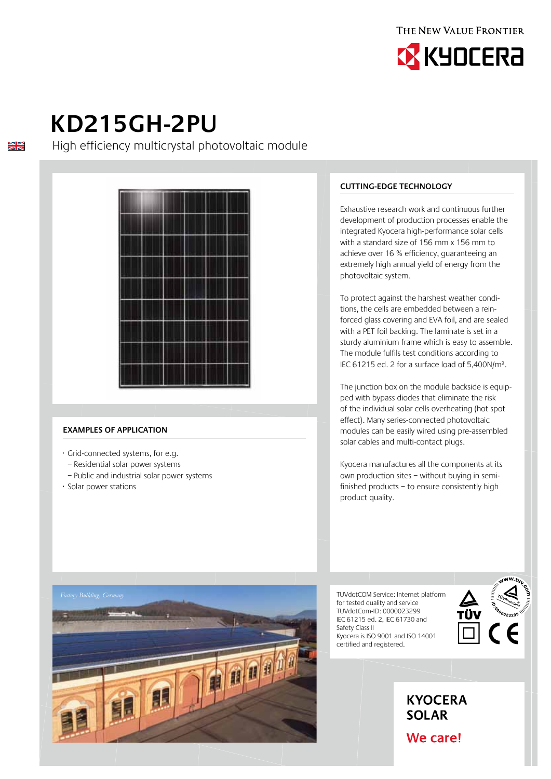



## **KD215GH-2PU**

 $\frac{N}{N}$ 

High efficiency multicrystal photovoltaic module



#### **Examples of application**

- · Grid-connected systems, for e.g.
- Residential solar power systems
- Public and industrial solar power systems
- · Solar power stations

#### **Cutting-edge technology**

Exhaustive research work and continuous further development of production processes enable the integrated Kyocera high-performance solar cells with a standard size of 156 mm x 156 mm to achieve over 16 % efficiency, guaranteeing an extremely high annual yield of energy from the photovoltaic system.

To protect against the harshest weather conditions, the cells are embedded between a reinforced glass covering and EVA foil, and are sealed with a PET foil backing. The laminate is set in a sturdy aluminium frame which is easy to assemble. The module fulfils test conditions according to IEC 61215 ed. 2 for a surface load of 5,400N/m².

The junction box on the module backside is equipped with bypass diodes that eliminate the risk of the individual solar cells overheating (hot spot effect). Many series-connected photovoltaic modules can be easily wired using pre-assembled solar cables and multi-contact plugs.

Kyocera manufactures all the components at its own production sites – without buying in semifinished products – to ensure consistently high product quality.

TUVdotCOM Service: Internet platform for tested quality and service TUVdotCom-ID: 0000023299 IEC 61215 ed. 2, IEC 61730 and Safety Class II Kyocera is ISO 9001 and ISO 14001 certified and registered.



### **KYOCERA SOLAR**

We care!